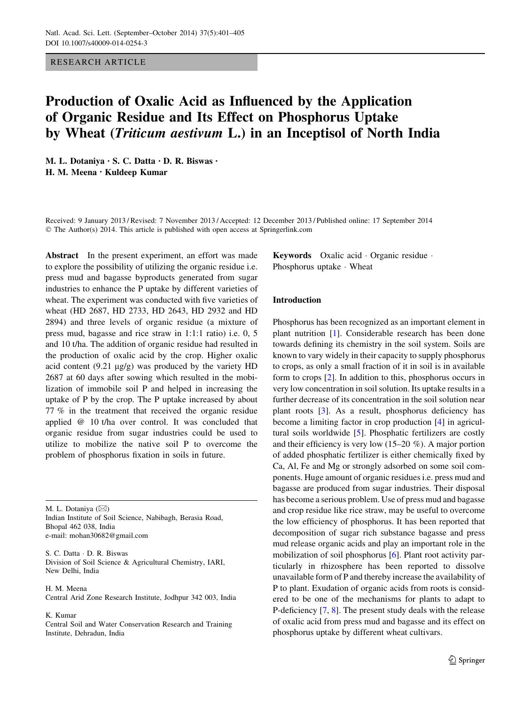# RESEARCH ARTICLE

# Production of Oxalic Acid as Influenced by the Application of Organic Residue and Its Effect on Phosphorus Uptake by Wheat (Triticum aestivum L.) in an Inceptisol of North India

M. L. Dotaniya • S. C. Datta • D. R. Biswas • H. M. Meena • Kuldeep Kumar

Received: 9 January 2013 / Revised: 7 November 2013 / Accepted: 12 December 2013 / Published online: 17 September 2014 © The Author(s) 2014. This article is published with open access at Springerlink.com

Abstract In the present experiment, an effort was made to explore the possibility of utilizing the organic residue i.e. press mud and bagasse byproducts generated from sugar industries to enhance the P uptake by different varieties of wheat. The experiment was conducted with five varieties of wheat (HD 2687, HD 2733, HD 2643, HD 2932 and HD 2894) and three levels of organic residue (a mixture of press mud, bagasse and rice straw in 1:1:1 ratio) i.e. 0, 5 and 10 t/ha. The addition of organic residue had resulted in the production of oxalic acid by the crop. Higher oxalic acid content  $(9.21 \text{ µg/g})$  was produced by the variety HD 2687 at 60 days after sowing which resulted in the mobilization of immobile soil P and helped in increasing the uptake of P by the crop. The P uptake increased by about 77 % in the treatment that received the organic residue applied @ 10 t/ha over control. It was concluded that organic residue from sugar industries could be used to utilize to mobilize the native soil P to overcome the problem of phosphorus fixation in soils in future.

M. L. Dotaniya ( $\boxtimes$ ) Indian Institute of Soil Science, Nabibagh, Berasia Road, Bhopal 462 038, India e-mail: mohan30682@gmail.com

S. C. Datta - D. R. Biswas Division of Soil Science & Agricultural Chemistry, IARI, New Delhi, India

H. M. Meena Central Arid Zone Research Institute, Jodhpur 342 003, India

#### K. Kumar

Central Soil and Water Conservation Research and Training Institute, Dehradun, India

Keywords Oxalic acid - Organic residue - Phosphorus uptake · Wheat

# Introduction

Phosphorus has been recognized as an important element in plant nutrition [\[1](#page-3-0)]. Considerable research has been done towards defining its chemistry in the soil system. Soils are known to vary widely in their capacity to supply phosphorus to crops, as only a small fraction of it in soil is in available form to crops [\[2](#page-3-0)]. In addition to this, phosphorus occurs in very low concentration in soil solution. Its uptake results in a further decrease of its concentration in the soil solution near plant roots [\[3](#page-3-0)]. As a result, phosphorus deficiency has become a limiting factor in crop production [[4\]](#page-3-0) in agricultural soils worldwide [\[5](#page-4-0)]. Phosphatic fertilizers are costly and their efficiency is very low (15–20 %). A major portion of added phosphatic fertilizer is either chemically fixed by Ca, Al, Fe and Mg or strongly adsorbed on some soil components. Huge amount of organic residues i.e. press mud and bagasse are produced from sugar industries. Their disposal has become a serious problem. Use of press mud and bagasse and crop residue like rice straw, may be useful to overcome the low efficiency of phosphorus. It has been reported that decomposition of sugar rich substance bagasse and press mud release organic acids and play an important role in the mobilization of soil phosphorus [[6\]](#page-4-0). Plant root activity particularly in rhizosphere has been reported to dissolve unavailable form of P and thereby increase the availability of P to plant. Exudation of organic acids from roots is considered to be one of the mechanisms for plants to adapt to P-deficiency [[7,](#page-4-0) [8\]](#page-4-0). The present study deals with the release of oxalic acid from press mud and bagasse and its effect on phosphorus uptake by different wheat cultivars.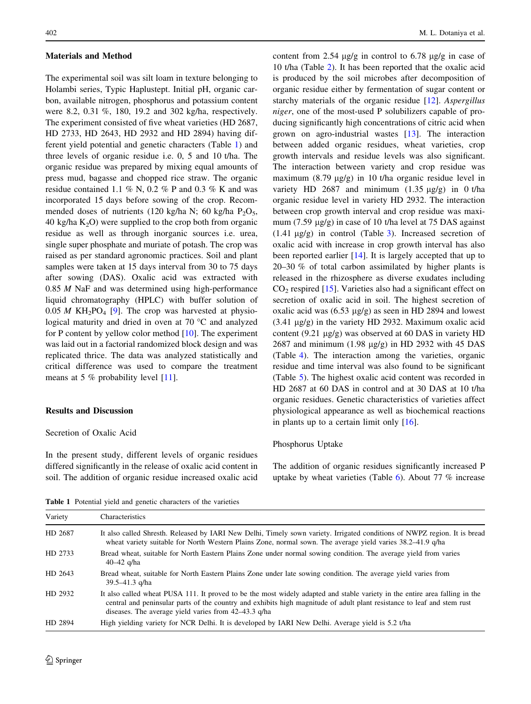#### Materials and Method

The experimental soil was silt loam in texture belonging to Holambi series, Typic Haplustept. Initial pH, organic carbon, available nitrogen, phosphorus and potassium content were 8.2, 0.31 %, 180, 19.2 and 302 kg/ha, respectively. The experiment consisted of five wheat varieties (HD 2687, HD 2733, HD 2643, HD 2932 and HD 2894) having different yield potential and genetic characters (Table 1) and three levels of organic residue i.e. 0, 5 and 10 t/ha. The organic residue was prepared by mixing equal amounts of press mud, bagasse and chopped rice straw. The organic residue contained 1.1 % N, 0.2 % P and 0.3 % K and was incorporated 15 days before sowing of the crop. Recommended doses of nutrients (120 kg/ha N; 60 kg/ha  $P_2O_5$ , 40 kg/ha  $K_2$ O) were supplied to the crop both from organic residue as well as through inorganic sources i.e. urea, single super phosphate and muriate of potash. The crop was raised as per standard agronomic practices. Soil and plant samples were taken at 15 days interval from 30 to 75 days after sowing (DAS). Oxalic acid was extracted with 0.85 M NaF and was determined using high-performance liquid chromatography (HPLC) with buffer solution of  $0.05 M$  KH<sub>2</sub>PO<sub>4</sub> [[9\]](#page-4-0). The crop was harvested at physiological maturity and dried in oven at  $70^{\circ}$ C and analyzed for P content by yellow color method [\[10](#page-4-0)]. The experiment was laid out in a factorial randomized block design and was replicated thrice. The data was analyzed statistically and critical difference was used to compare the treatment means at 5 % probability level [[11\]](#page-4-0).

# Results and Discussion

# Secretion of Oxalic Acid

In the present study, different levels of organic residues differed significantly in the release of oxalic acid content in soil. The addition of organic residue increased oxalic acid content from 2.54  $\mu$ g/g in control to 6.78  $\mu$ g/g in case of 10 t/ha (Table [2](#page-2-0)). It has been reported that the oxalic acid is produced by the soil microbes after decomposition of organic residue either by fermentation of sugar content or starchy materials of the organic residue [[12\]](#page-4-0). Aspergillus niger, one of the most-used P solubilizers capable of producing significantly high concentrations of citric acid when grown on agro-industrial wastes [[13\]](#page-4-0). The interaction between added organic residues, wheat varieties, crop growth intervals and residue levels was also significant. The interaction between variety and crop residue was maximum  $(8.79 \text{ µg/g})$  in 10 t/ha organic residue level in variety HD 2687 and minimum  $(1.35 \text{ µg/g})$  in 0 t/ha organic residue level in variety HD 2932. The interaction between crop growth interval and crop residue was maximum (7.59  $\mu$ g/g) in case of 10 t/ha level at 75 DAS against  $(1.41 \mu g/g)$  in control (Table [3](#page-2-0)). Increased secretion of oxalic acid with increase in crop growth interval has also been reported earlier [\[14](#page-4-0)]. It is largely accepted that up to 20–30 % of total carbon assimilated by higher plants is released in the rhizosphere as diverse exudates including  $CO<sub>2</sub>$  respired [\[15](#page-4-0)]. Varieties also had a significant effect on secretion of oxalic acid in soil. The highest secretion of oxalic acid was  $(6.53 \text{ µg/g})$  as seen in HD 2894 and lowest  $(3.41 \mu g/g)$  in the variety HD 2932. Maximum oxalic acid content (9.21  $\mu$ g/g) was observed at 60 DAS in variety HD 2687 and minimum  $(1.98 \text{ µg/g})$  in HD 2932 with 45 DAS (Table [4\)](#page-2-0). The interaction among the varieties, organic residue and time interval was also found to be significant (Table [5\)](#page-3-0). The highest oxalic acid content was recorded in HD 2687 at 60 DAS in control and at 30 DAS at 10 t/ha organic residues. Genetic characteristics of varieties affect physiological appearance as well as biochemical reactions in plants up to a certain limit only  $[16]$  $[16]$ .

#### Phosphorus Uptake

The addition of organic residues significantly increased P uptake by wheat varieties (Table  $6$ ). About 77 % increase

Table 1 Potential yield and genetic characters of the varieties

| Variety | Characteristics                                                                                                                                                                                                                                                                                                |
|---------|----------------------------------------------------------------------------------------------------------------------------------------------------------------------------------------------------------------------------------------------------------------------------------------------------------------|
| HD 2687 | It also called Shresth. Released by IARI New Delhi, Timely sown variety. Irrigated conditions of NWPZ region. It is bread<br>wheat variety suitable for North Western Plains Zone, normal sown. The average yield varies 38.2–41.9 q/ha                                                                        |
| HD 2733 | Bread wheat, suitable for North Eastern Plains Zone under normal sowing condition. The average yield from varies<br>40–42 g/ha                                                                                                                                                                                 |
| HD 2643 | Bread wheat, suitable for North Eastern Plains Zone under late sowing condition. The average yield varies from<br>$39.5 - 41.3$ g/ha                                                                                                                                                                           |
| HD 2932 | It also called wheat PUSA 111. It proved to be the most widely adapted and stable variety in the entire area falling in the<br>central and peninsular parts of the country and exhibits high magnitude of adult plant resistance to leaf and stem rust<br>diseases. The average yield varies from 42–43.3 q/ha |
| HD 2894 | High yielding variety for NCR Delhi. It is developed by IARI New Delhi. Average yield is 5.2 t/ha                                                                                                                                                                                                              |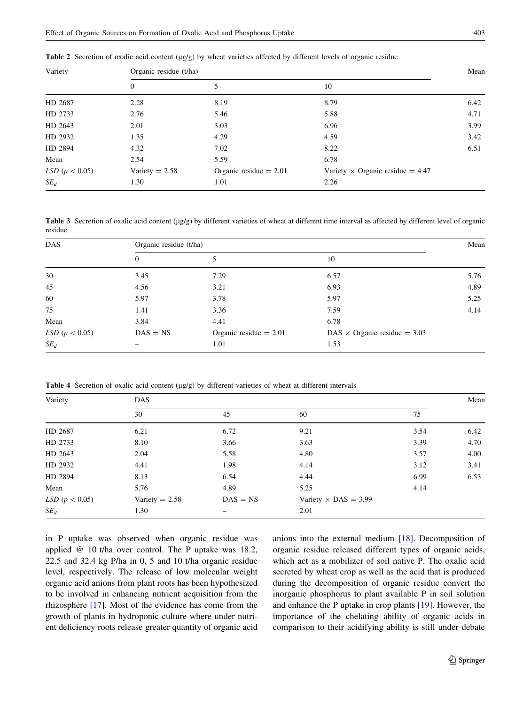<span id="page-2-0"></span>Table 2 Secretion of oxalic acid content (µg/g) by wheat varieties affected by different levels of organic residue

| Variety                   | Organic residue (t/ha) |                          |                                         |      |  |  |
|---------------------------|------------------------|--------------------------|-----------------------------------------|------|--|--|
|                           | $\theta$               |                          | 10                                      |      |  |  |
| HD 2687                   | 2.28                   | 8.19                     | 8.79                                    | 6.42 |  |  |
| HD 2733                   | 2.76                   | 5.46                     | 5.88                                    | 4.71 |  |  |
| HD 2643                   | 2.01                   | 3.03                     | 6.96                                    | 3.99 |  |  |
| HD 2932                   | 1.35                   | 4.29                     | 4.59                                    | 3.42 |  |  |
| HD 2894                   | 4.32                   | 7.02                     | 8.22                                    | 6.51 |  |  |
| Mean                      | 2.54                   | 5.59                     | 6.78                                    |      |  |  |
| <i>LSD</i> ( $p < 0.05$ ) | Variety $= 2.58$       | Organic residue $= 2.01$ | Variety $\times$ Organic residue = 4.47 |      |  |  |
| $SE_d$                    | 1.30                   | 1.01                     | 2.26                                    |      |  |  |

**Table 3** Secretion of oxalic acid content ( $\mu$ g/g) by different varieties of wheat at different time interval as affected by different level of organic residue

| <b>DAS</b>                | Organic residue (t/ha) |                          |                                     |      |  |  |
|---------------------------|------------------------|--------------------------|-------------------------------------|------|--|--|
|                           | $\overline{0}$         | 5                        | 10                                  |      |  |  |
| 30                        | 3.45                   | 7.29                     | 6.57                                | 5.76 |  |  |
| 45                        | 4.56                   | 3.21                     | 6.93                                | 4.89 |  |  |
| 60                        | 5.97                   | 3.78                     | 5.97                                | 5.25 |  |  |
| 75                        | 1.41                   | 3.36                     | 7.59                                | 4.14 |  |  |
| Mean                      | 3.84                   | 4.41                     | 6.78                                |      |  |  |
| <i>LSD</i> ( $p < 0.05$ ) | $DAS = NS$             | Organic residue $= 2.01$ | DAS $\times$ Organic residue = 3.03 |      |  |  |
| $SE_d$                    |                        | 1.01                     | 1.53                                |      |  |  |

**Table 4** Secretion of oxalic acid content ( $\mu$ g/g) by different varieties of wheat at different intervals

| Variety                   | <b>DAS</b>       |            |                             |      |      |  |  |
|---------------------------|------------------|------------|-----------------------------|------|------|--|--|
|                           | 30               | 45         | 60                          | 75   |      |  |  |
| HD 2687                   | 6.21             | 6.72       | 9.21                        | 3.54 | 6.42 |  |  |
| HD 2733                   | 8.10             | 3.66       | 3.63                        | 3.39 | 4.70 |  |  |
| HD 2643                   | 2.04             | 5.58       | 4.80                        | 3.57 | 4.00 |  |  |
| HD 2932                   | 4.41             | 1.98       | 4.14                        | 3.12 | 3.41 |  |  |
| HD 2894                   | 8.13             | 6.54       | 4.44                        | 6.99 | 6.53 |  |  |
| Mean                      | 5.76             | 4.89       | 5.25                        | 4.14 |      |  |  |
| <i>LSD</i> ( $p < 0.05$ ) | Variety $= 2.58$ | $DAS = NS$ | Variety $\times$ DAS = 3.99 |      |      |  |  |
| $SE_d$                    | 1.30             | -          | 2.01                        |      |      |  |  |

in P uptake was observed when organic residue was applied @ 10 t/ha over control. The P uptake was 18.2, 22.5 and 32.4 kg P/ha in 0, 5 and 10 t/ha organic residue level, respectively. The release of low molecular weight organic acid anions from plant roots has been hypothesized to be involved in enhancing nutrient acquisition from the rhizosphere [\[17](#page-4-0)]. Most of the evidence has come from the growth of plants in hydroponic culture where under nutrient deficiency roots release greater quantity of organic acid anions into the external medium [\[18](#page-4-0)]. Decomposition of organic residue released different types of organic acids, which act as a mobilizer of soil native P. The oxalic acid secreted by wheat crop as well as the acid that is produced during the decomposition of organic residue convert the inorganic phosphorus to plant available P in soil solution and enhance the P uptake in crop plants [[19\]](#page-4-0). However, the importance of the chelating ability of organic acids in comparison to their acidifying ability is still under debate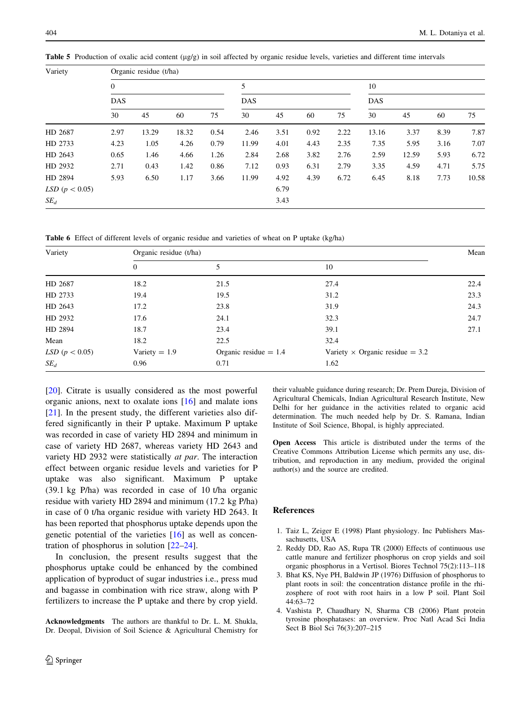| Variety                   | Organic residue (t/ha) |       |       |      |                 |      |      |                  |       |       |      |       |
|---------------------------|------------------------|-------|-------|------|-----------------|------|------|------------------|-------|-------|------|-------|
|                           | $\mathbf{0}$           |       |       |      | 5<br><b>DAS</b> |      |      | 10<br><b>DAS</b> |       |       |      |       |
|                           | <b>DAS</b>             |       |       |      |                 |      |      |                  |       |       |      |       |
|                           | 30                     | 45    | 60    | 75   | 30              | 45   | 60   | 75               | 30    | 45    | 60   | 75    |
| HD 2687                   | 2.97                   | 13.29 | 18.32 | 0.54 | 2.46            | 3.51 | 0.92 | 2.22             | 13.16 | 3.37  | 8.39 | 7.87  |
| HD 2733                   | 4.23                   | 1.05  | 4.26  | 0.79 | 11.99           | 4.01 | 4.43 | 2.35             | 7.35  | 5.95  | 3.16 | 7.07  |
| HD 2643                   | 0.65                   | 1.46  | 4.66  | 1.26 | 2.84            | 2.68 | 3.82 | 2.76             | 2.59  | 12.59 | 5.93 | 6.72  |
| HD 2932                   | 2.71                   | 0.43  | 1.42  | 0.86 | 7.12            | 0.93 | 6.31 | 2.79             | 3.35  | 4.59  | 4.71 | 5.75  |
| HD 2894                   | 5.93                   | 6.50  | 1.17  | 3.66 | 11.99           | 4.92 | 4.39 | 6.72             | 6.45  | 8.18  | 7.73 | 10.58 |
| <i>LSD</i> ( $p < 0.05$ ) |                        |       |       |      |                 | 6.79 |      |                  |       |       |      |       |
| $SE_d$                    |                        |       |       |      |                 | 3.43 |      |                  |       |       |      |       |

<span id="page-3-0"></span>**Table 5** Production of oxalic acid content  $(\mu g/g)$  in soil affected by organic residue levels, varieties and different time intervals

Table 6 Effect of different levels of organic residue and varieties of wheat on P uptake (kg/ha)

| Variety                   | Organic residue (t/ha) |                         |                                        |      |  |  |
|---------------------------|------------------------|-------------------------|----------------------------------------|------|--|--|
|                           | $\Omega$               | 5                       | 10                                     |      |  |  |
| HD 2687                   | 18.2                   | 21.5                    | 27.4                                   | 22.4 |  |  |
| HD 2733                   | 19.4                   | 19.5                    | 31.2                                   | 23.3 |  |  |
| HD 2643                   | 17.2                   | 23.8                    | 31.9                                   | 24.3 |  |  |
| HD 2932                   | 17.6                   | 24.1                    | 32.3                                   | 24.7 |  |  |
| HD 2894                   | 18.7                   | 23.4                    | 39.1                                   | 27.1 |  |  |
| Mean                      | 18.2                   | 22.5                    | 32.4                                   |      |  |  |
| <i>LSD</i> ( $p < 0.05$ ) | Variety $= 1.9$        | Organic residue $= 1.4$ | Variety $\times$ Organic residue = 3.2 |      |  |  |
| $SE_d$                    | 0.96                   | 0.71                    | 1.62                                   |      |  |  |

[\[20](#page-4-0)]. Citrate is usually considered as the most powerful organic anions, next to oxalate ions [[16\]](#page-4-0) and malate ions [\[21](#page-4-0)]. In the present study, the different varieties also differed significantly in their P uptake. Maximum P uptake was recorded in case of variety HD 2894 and minimum in case of variety HD 2687, whereas variety HD 2643 and variety HD 2932 were statistically at par. The interaction effect between organic residue levels and varieties for P uptake was also significant. Maximum P uptake (39.1 kg P/ha) was recorded in case of 10 t/ha organic residue with variety HD 2894 and minimum (17.2 kg P/ha) in case of 0 t/ha organic residue with variety HD 2643. It has been reported that phosphorus uptake depends upon the genetic potential of the varieties [[16\]](#page-4-0) as well as concentration of phosphorus in solution [\[22–24](#page-4-0)].

In conclusion, the present results suggest that the phosphorus uptake could be enhanced by the combined application of byproduct of sugar industries i.e., press mud and bagasse in combination with rice straw, along with P fertilizers to increase the P uptake and there by crop yield.

Acknowledgments The authors are thankful to Dr. L. M. Shukla, Dr. Deopal, Division of Soil Science & Agricultural Chemistry for their valuable guidance during research; Dr. Prem Dureja, Division of Agricultural Chemicals, Indian Agricultural Research Institute, New Delhi for her guidance in the activities related to organic acid determination. The much needed help by Dr. S. Ramana, Indian Institute of Soil Science, Bhopal, is highly appreciated.

Open Access This article is distributed under the terms of the Creative Commons Attribution License which permits any use, distribution, and reproduction in any medium, provided the original author(s) and the source are credited.

# References

- 1. Taiz L, Zeiger E (1998) Plant physiology. Inc Publishers Massachusetts, USA
- 2. Reddy DD, Rao AS, Rupa TR (2000) Effects of continuous use cattle manure and fertilizer phosphorus on crop yields and soil organic phosphorus in a Vertisol. Biores Technol 75(2):113–118
- 3. Bhat KS, Nye PH, Baldwin JP (1976) Diffusion of phosphorus to plant roots in soil: the concentration distance profile in the rhizosphere of root with root hairs in a low P soil. Plant Soil 44:63–72
- 4. Vashista P, Chaudhary N, Sharma CB (2006) Plant protein tyrosine phosphatases: an overview. Proc Natl Acad Sci India Sect B Biol Sci 76(3):207–215